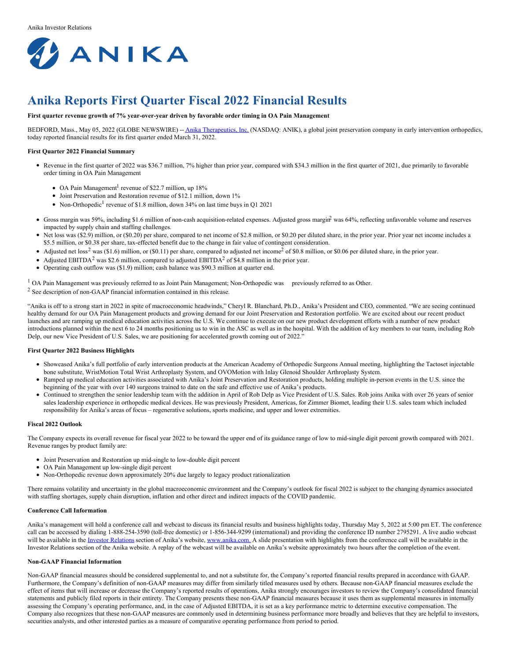

# **Anika Reports First Quarter Fiscal 2022 Financial Results**

## **First quarter revenue growth of 7% year-over-year driven by favorable order timing in OA Pain Management**

BEDFORD, Mass., May 05, 2022 (GLOBE NEWSWIRE) -- Anika [Therapeutics,](http://www.anika.com/) Inc. (NASDAQ: ANIK), a global joint preservation company in early intervention orthopedics, today reported financial results for its first quarter ended March 31, 2022.

#### **First Quarter 2022 Financial Summary**

- Revenue in the first quarter of 2022 was \$36.7 million, 7% higher than prior year, compared with \$34.3 million in the first quarter of 2021, due primarily to favorable order timing in OA Pain Management
	- OA Pain Management<sup>1</sup> revenue of \$22.7 million, up 18%
	- Joint Preservation and Restoration revenue of \$12.1 million, down 1%
	- Non-Orthopedic<sup>1</sup> revenue of \$1.8 million, down 34% on last time buys in Q1 2021
- Gross margin was 59%, including \$1.6 million of non-cash acquisition-related expenses. Adjusted gross margin was 64%, reflecting unfavorable volume and reserves impacted by supply chain and staffing challenges.
- Net loss was (\$2.9) million, or (\$0.20) per share, compared to net income of \$2.8 million, or \$0.20 per diluted share, in the prior year. Prior year net income includes a \$5.5 million, or \$0.38 per share, tax-effected benefit due to the change in fair value of contingent consideration.
- Adjusted net loss<sup>2</sup> was (\$1.6) million, or (\$0.11) per share, compared to adjusted net income<sup>2</sup> of \$0.8 million, or \$0.06 per diluted share, in the prior year.
- Adjusted EBITDA<sup>2</sup> was \$2.6 million, compared to adjusted EBITDA<sup>2</sup> of \$4.8 million in the prior year.
- Operating cash outflow was (\$1.9) million; cash balance was \$90.3 million at quarter end.

<sup>1</sup> OA Pain Management was previously referred to as Joint Pain Management; Non-Orthopedic was previously referred to as Other.

<sup>2</sup> See description of non-GAAP financial information contained in this release.

"Anika is off to a strong start in 2022 in spite of macroeconomic headwinds," Cheryl R. Blanchard, Ph.D., Anika's President and CEO, commented. "We are seeing continued healthy demand for our OA Pain Management products and growing demand for our Joint Preservation and Restoration portfolio. We are excited about our recent product launches and are ramping up medical education activities across the U.S. We continue to execute on our new product development efforts with a number of new product introductions planned within the next 6 to 24 months positioning us to win in the ASC as well as in the hospital. With the addition of key members to our team, including Rob Delp, our new Vice President of U.S. Sales, we are positioning for accelerated growth coming out of 2022."

## **First Quarter 2022 Business Highlights**

- Showcased Anika's full portfolio of early intervention products at the American Academy of Orthopedic Surgeons Annual meeting, highlighting the Tactoset injectable bone substitute, WristMotion Total Wrist Arthroplasty System, and OVOMotion with Inlay Glenoid Shoulder Arthroplasty System.
- Ramped up medical education activities associated with Anika's Joint Preservation and Restoration products, holding multiple in-person events in the U.S. since the beginning of the year with over 140 surgeons trained to date on the safe and effective use of Anika's products.
- Continued to strengthen the senior leadership team with the addition in April of Rob Delp as Vice President of U.S. Sales. Rob joins Anika with over 26 years of senior sales leadership experience in orthopedic medical devices. He was previously President, Americas, for Zimmer Biomet, leading their U.S. sales team which included responsibility for Anika's areas of focus – regenerative solutions, sports medicine, and upper and lower extremities.

#### **Fiscal 2022 Outlook**

The Company expects its overall revenue for fiscal year 2022 to be toward the upper end of its guidance range of low to mid-single digit percent growth compared with 2021. Revenue ranges by product family are:

- Joint Preservation and Restoration up mid-single to low-double digit percent
- OA Pain Management up low-single digit percent
- Non-Orthopedic revenue down approximately 20% due largely to legacy product rationalization

There remains volatility and uncertainty in the global macroeconomic environment and the Company's outlook for fiscal 2022 is subject to the changing dynamics associated with staffing shortages, supply chain disruption, inflation and other direct and indirect impacts of the COVID pandemic.

## **Conference Call Information**

Anika's management will hold a conference call and webcast to discuss its financial results and business highlights today, Thursday May 5, 2022 at 5:00 pm ET. The conference call can be accessed by dialing 1-888-254-3590 (toll-free domestic) or 1-856-344-9299 (international) and providing the conference ID number 2795291. A live audio webcast will be available in the Investor [Relations](https://ir.anika.com/) section of Anika's website, [www.anika.com](http://www.anika.com/)[.](http://www.anikatherapeutics.com/index.html) A slide presentation with highlights from the conference call will be available in the Investor Relations section of the Anika website. A replay of the webcast will be available on Anika's website approximately two hours after the completion of the event.

#### **Non-GAAP Financial Information**

Non-GAAP financial measures should be considered supplemental to, and not a substitute for, the Company's reported financial results prepared in accordance with GAAP. Furthermore, the Company's definition of non-GAAP measures may differ from similarly titled measures used by others. Because non-GAAP financial measures exclude the effect of items that will increase or decrease the Company's reported results of operations, Anika strongly encourages investors to review the Company's consolidated financial statements and publicly filed reports in their entirety. The Company presents these non-GAAP financial measures because it uses them as supplemental measures in internally assessing the Company's operating performance, and, in the case of Adjusted EBITDA, it is set as a key performance metric to determine executive compensation. The Company also recognizes that these non-GAAP measures are commonly used in determining business performance more broadly and believes that they are helpful to investors, securities analysts, and other interested parties as a measure of comparative operating performance from period to period.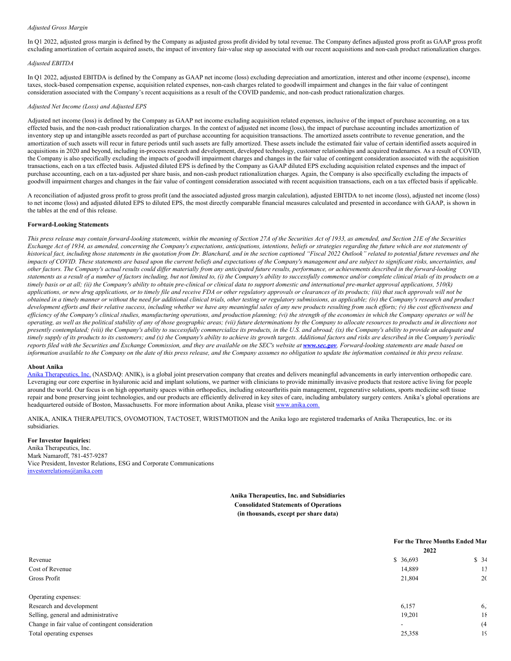## *Adjusted Gross Margin*

In Q1 2022, adjusted gross margin is defined by the Company as adjusted gross profit divided by total revenue. The Company defines adjusted gross profit as GAAP gross profit excluding amortization of certain acquired assets, the impact of inventory fair-value step up associated with our recent acquisitions and non-cash product rationalization charges.

## *Adjusted EBITDA*

In Q1 2022, adjusted EBITDA is defined by the Company as GAAP net income (loss) excluding depreciation and amortization, interest and other income (expense), income taxes, stock-based compensation expense, acquisition related expenses, non-cash charges related to goodwill impairment and changes in the fair value of contingent consideration associated with the Company's recent acquisitions as a result of the COVID pandemic, and non-cash product rationalization charges.

#### *Adjusted Net Income (Loss) and Adjusted EPS*

Adjusted net income (loss) is defined by the Company as GAAP net income excluding acquisition related expenses, inclusive of the impact of purchase accounting, on a tax effected basis, and the non-cash product rationalization charges. In the context of adjusted net income (loss), the impact of purchase accounting includes amortization of inventory step up and intangible assets recorded as part of purchase accounting for acquisition transactions. The amortized assets contribute to revenue generation, and the amortization of such assets will recur in future periods until such assets are fully amortized. These assets include the estimated fair value of certain identified assets acquired in acquisitions in 2020 and beyond, including in-process research and development, developed technology, customer relationships and acquired tradenames. As a result of COVID, the Company is also specifically excluding the impacts of goodwill impairment charges and changes in the fair value of contingent consideration associated with the acquisition transactions, each on a tax effected basis. Adjusted diluted EPS is defined by the Company as GAAP diluted EPS excluding acquisition related expenses and the impact of purchase accounting, each on a tax-adjusted per share basis, and non-cash product rationalization charges. Again, the Company is also specifically excluding the impacts of goodwill impairment charges and changes in the fair value of contingent consideration associated with recent acquisition transactions, each on a tax effected basis if applicable.

A reconciliation of adjusted gross profit to gross profit (and the associated adjusted gross margin calculation), adjusted EBITDA to net income (loss), adjusted net income (loss) to net income (loss) and adjusted diluted EPS to diluted EPS, the most directly comparable financial measures calculated and presented in accordance with GAAP, is shown in the tables at the end of this release.

## **Forward-Looking Statements**

This press release may contain forward-looking statements, within the meaning of Section 27A of the Securities Act of 1933, as amended, and Section 21E of the Securities Exchange Act of 1934, as amended, concerning the Company's expectations, anticipations, intentions, beliefs or strategies regarding the future which are not statements of historical fact, including those statements in the quotation from Dr. Blanchard, and in the section captioned "Fiscal 2022 Outlook" related to potential future revenues and the impacts of COVID. These statements are based upon the current beliefs and expectations of the Company's management and are subject to significant risks, uncertainties, and other factors. The Company's actual results could differ materially from any anticipated future results, performance, or achievements described in the forward-looking statements as a result of a number of factors including, but not limited to, (i) the Company's ability to successfully commence and/or complete clinical trials of its products on a timely basis or at all; (ii) the Company's ability to obtain pre-clinical or clinical data to support domestic and international pre-market approval applications, 510(k) applications, or new drug applications, or to timely file and receive FDA or other regulatory approvals or clearances of its products; (iii) that such approvals will not be obtained in a timely manner or without the need for additional clinical trials, other testing or regulatory submissions, as applicable; (iv) the Company's research and product development efforts and their relative success, including whether we have any meaningful sales of any new products resulting from such efforts; (v) the cost effectiveness and efficiency of the Company's clinical studies, manufacturing operations, and production planning; (vi) the strength of the economies in which the Company operates or will be operating, as well as the political stability of any of those geographic areas; (vii) future determinations by the Company to allocate resources to products and in directions not presently contemplated; (viii) the Company's ability to successfully commercialize its products, in the U.S. and abroad; (ix) the Company's ability to provide an adequate and timely supply of its products to its customers; and (x) the Company's ability to achieve its growth targets. Additional factors and risks are described in the Company's periodic reports filed with the Securities and Exchange Commission, and they are available on the SEC's website at [www.sec.gov](http://www.sec.gov/). Forward-looking statements are made based on information available to the Company on the date of this press release, and the Company assumes no obligation to update the information contained in this press release.

#### **About Anika**

Anika [Therapeutics,](http://www.anika.com/) Inc. (NASDAQ: ANIK), is a global joint preservation company that creates and delivers meaningful advancements in early intervention orthopedic care. Leveraging our core expertise in hyaluronic acid and implant solutions, we partner with clinicians to provide minimally invasive products that restore active living for people around the world. Our focus is on high opportunity spaces within orthopedics, including osteoarthritis pain management, regenerative solutions, sports medicine soft tissue repair and bone preserving joint technologies, and our products are efficiently delivered in key sites of care, including ambulatory surgery centers. Anika's global operations are headquartered outside of Boston, Massachusetts. For more information about Anika, please visit [www.anika.com](http://www.anika.com/)[.](http://www.anikatherapeutics.com/)

ANIKA, ANIKA THERAPEUTICS, OVOMOTION, TACTOSET, WRISTMOTION and the Anika logo are registered trademarks of Anika Therapeutics, Inc. or its subsidiaries.

## **For Investor Inquiries:**

Anika Therapeutics, Inc. Mark Namaroff, 781-457-9287 Vice President, Investor Relations, ESG and Corporate Communications [investorrelations@anika.com](mailto:investorrelations@anika.com)

> **Anika Therapeutics, Inc. and Subsidiaries Consolidated Statements of Operations (in thousands, except per share data)**

|                                                  |                          | For the Three Months Ended Mar |  |
|--------------------------------------------------|--------------------------|--------------------------------|--|
|                                                  | 2022                     |                                |  |
| Revenue                                          | \$ 36,693                | \$34                           |  |
| Cost of Revenue                                  | 14,889                   | 13                             |  |
| Gross Profit                                     | 21,804                   | 20                             |  |
| Operating expenses:                              |                          |                                |  |
| Research and development                         | 6,157                    | 6.                             |  |
| Selling, general and administrative              | 19,201                   | 18                             |  |
| Change in fair value of contingent consideration | $\overline{\phantom{a}}$ | (4)                            |  |
| Total operating expenses                         | 25,358                   | 19                             |  |
|                                                  |                          |                                |  |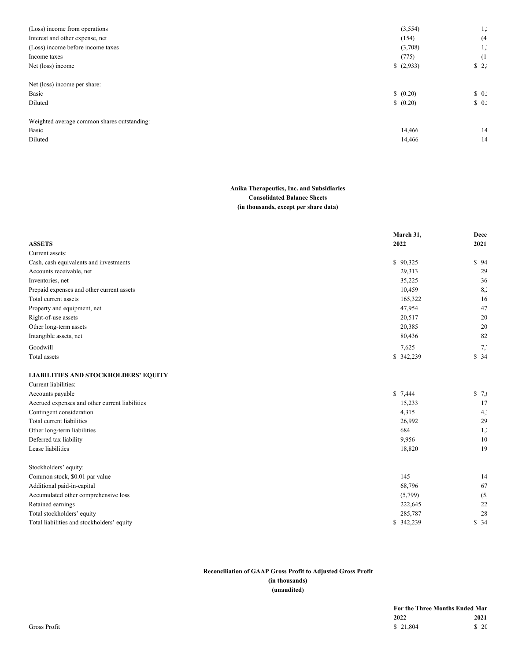| (Loss) income from operations               | (3, 554)  | 1,                              |
|---------------------------------------------|-----------|---------------------------------|
| Interest and other expense, net             | (154)     | (4)                             |
| (Loss) income before income taxes           | (3,708)   | 1,                              |
| Income taxes                                | (775)     | (1)                             |
| Net (loss) income                           | (2,933)   | \$2,1                           |
| Net (loss) income per share:                |           |                                 |
| Basic                                       | \$ (0.20) | $\begin{matrix} 0 \end{matrix}$ |
| Diluted                                     | (0.20)    | $\begin{matrix} 0 \end{matrix}$ |
| Weighted average common shares outstanding: |           |                                 |
| Basic                                       | 14,466    | 14                              |
| Diluted                                     | 14,466    | 14                              |
|                                             |           |                                 |

## **Anika Therapeutics, Inc. and Subsidiaries Consolidated Balance Sheets (in thousands, except per share data)**

|                                                | March 31,  | Dece  |
|------------------------------------------------|------------|-------|
| <b>ASSETS</b>                                  | 2022       | 2021  |
| Current assets:                                |            |       |
| Cash, cash equivalents and investments         | \$90,325   | \$94  |
| Accounts receivable, net                       | 29,313     | 29    |
| Inventories, net                               | 35,225     | 36    |
| Prepaid expenses and other current assets      | 10,459     | 8,2   |
| Total current assets                           | 165,322    | 16    |
| Property and equipment, net                    | 47,954     | 47    |
| Right-of-use assets                            | 20,517     | 20    |
| Other long-term assets                         | 20,385     | 20    |
| Intangible assets, net                         | 80,436     | 82    |
| Goodwill                                       | 7,625      | 7,    |
| Total assets                                   | \$ 342,239 | \$34  |
| <b>LIABILITIES AND STOCKHOLDERS' EQUITY</b>    |            |       |
| Current liabilities:                           |            |       |
| Accounts payable                               | \$7,444    | \$7,0 |
| Accrued expenses and other current liabilities | 15,233     | 17    |
| Contingent consideration                       | 4,315      | 4,1   |
| Total current liabilities                      | 26,992     | 29    |
| Other long-term liabilities                    | 684        | 1, 2  |
| Deferred tax liability                         | 9,956      | 10    |
| Lease liabilities                              | 18,820     | 19    |
| Stockholders' equity:                          |            |       |
| Common stock, \$0.01 par value                 | 145        | 14    |
| Additional paid-in-capital                     | 68,796     | 67    |
| Accumulated other comprehensive loss           | (5,799)    | (5,   |
| Retained earnings                              | 222,645    | 22    |
| Total stockholders' equity                     | 285,787    | 28    |
| Total liabilities and stockholders' equity     | \$ 342,239 | \$34  |

## **Reconciliation of GAAP Gross Profit to Adjusted Gross Profit (in thousands)**

## **(unaudited)**

|              |          | For the Three Months Ended Mar |  |
|--------------|----------|--------------------------------|--|
|              | 2022     | 2021                           |  |
| Gross Profit | \$21,804 | \$20                           |  |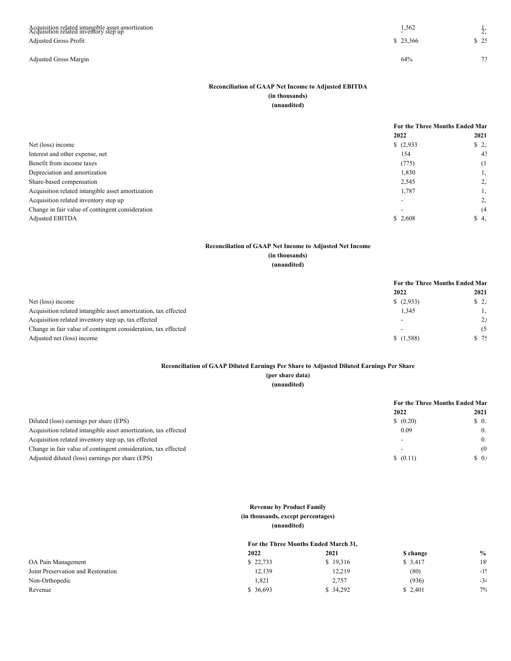| Acquisition related intangible asset amortization<br>Acquisition related inventory step up | .562     | <b>، ک</b> |
|--------------------------------------------------------------------------------------------|----------|------------|
| <b>Adjusted Gross Profit</b>                                                               | \$23,366 | \$25       |
| <b>Adjusted Gross Margin</b>                                                               | 64%      | $\sim$     |

## **Reconciliation of GAAP Net Income to Adjusted EBITDA (in thousands)**

## **(unaudited)**

## **For the Three Months Ended Mar 2022 2021** Net (loss) income  $\frac{1}{2}$   $\frac{2}{3}$   $\frac{2}{3}$   $\frac{3}{3}$   $\frac{2}{3}$ Interest and other expense, net 154 43 Benefit from income taxes (175) (1,623) Depreciation and amortization  $1,830$  $S<sub>1</sub>$ Share-based compensation  $2,545$ Acquisition related intangible asset amortization 1,787 1,  $\alpha$  Acquisition related inventory step up  $\alpha$  and  $\alpha$  and  $\alpha$  are  $\alpha$  and  $\alpha$  are  $\alpha$  and  $\alpha$  are  $\alpha$  and  $\alpha$  are  $\alpha$  and  $\alpha$  are  $\alpha$  and  $\alpha$  are  $\alpha$  and  $\alpha$  are  $\alpha$  are  $\alpha$  are  $\alpha$  are  $\alpha$  are  $\alpha$  ar Change in fair value of contingent consideration (4)  $(4)$ Adjusted EBITDA \$ 2,608 \$ 4,

## **Reconciliation of GAAP Net Income to Adjusted Net Income**

**(in thousands) (unaudited)**

**For the Three Months Ended Mar** 

|                                                                 | 2022      | 2021           |
|-----------------------------------------------------------------|-----------|----------------|
| Net (loss) income                                               | \$(2,933) | S <sub>2</sub> |
| Acquisition related intangible asset amortization, tax effected | 1.345     | $\mathbf{1}$ . |
| Acquisition related inventory step up, tax effected             |           | 2.1            |
| Change in fair value of contingent consideration, tax effected  |           |                |
| Adjusted net (loss) income                                      | \$(1,588) | \$75           |

## **Reconciliation of GAAP Diluted Earnings Per Share to Adjusted Diluted Earnings Per Share**

## **(per share data)**

**(unaudited)**

|                                                                 | For the Three Months Ended Mar |                   |
|-----------------------------------------------------------------|--------------------------------|-------------------|
|                                                                 | 2022                           | 2021              |
| Diluted (loss) earnings per share (EPS)                         | \$ (0.20)                      | $\textbf{S}$ 0.   |
| Acquisition related intangible asset amortization, tax effected | 0.09                           | 0.                |
| Acquisition related inventory step up, tax effected             |                                | 0.                |
| Change in fair value of contingent consideration, tax effected  | -                              | (0)               |
| Adjusted diluted (loss) earnings per share (EPS)                | \$ (0.11)                      | $\frac{1}{2}$ 0.1 |

## **Revenue by Product Family (in thousands, except percentages) (unaudited)**

## **For the Three Months Ended March 31,**

|                                    | 2022      | 2021     | <b>S</b> change | $\%$  |
|------------------------------------|-----------|----------|-----------------|-------|
| OA Pain Management                 | \$22,733  | \$19,316 | \$ 3.417        | 18'   |
| Joint Preservation and Restoration | 12,139    | 12,219   | (80)            | $-10$ |
| Non-Orthopedic                     | 1,821     | 2,757    | (936)           | $-34$ |
| Revenue                            | \$ 36,693 | \$34,292 | \$2,401         | 7%    |